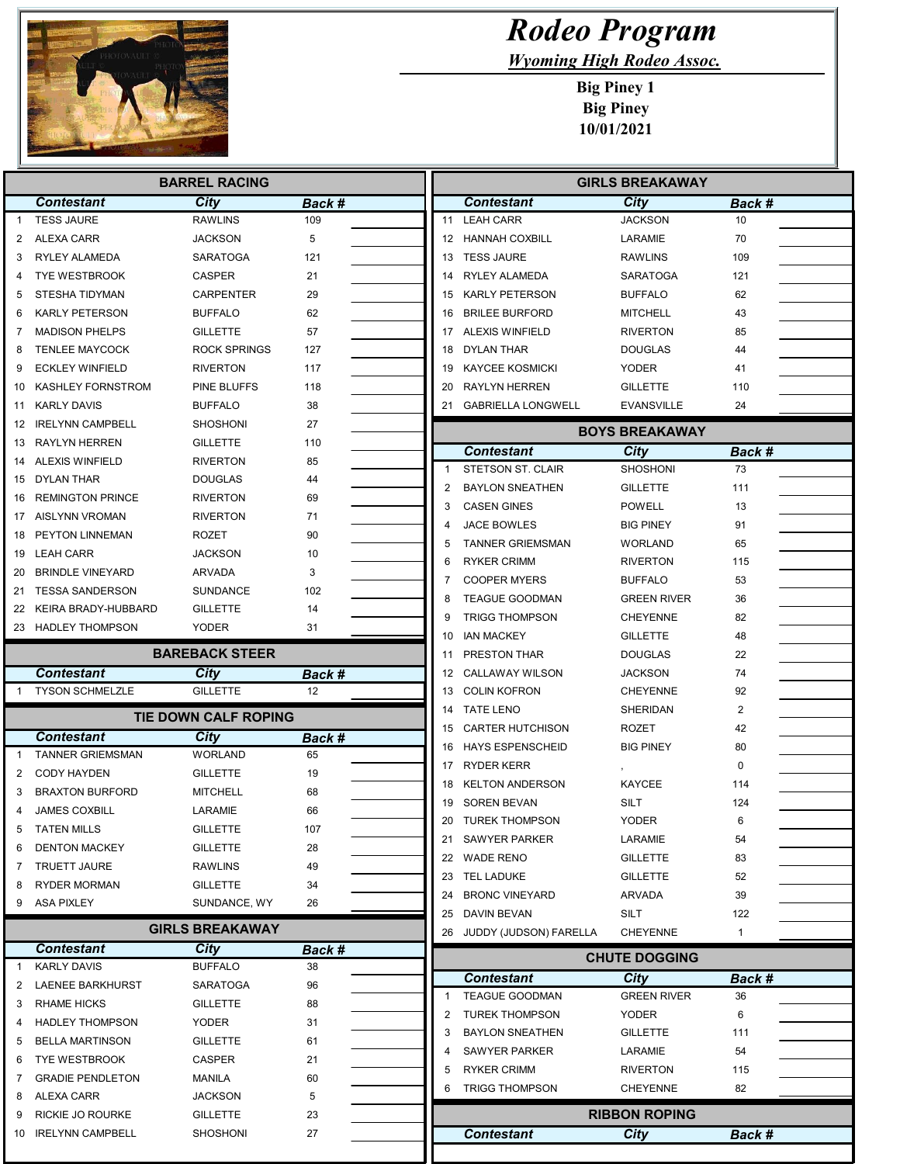

ſ

Г

## Rodeo Program

Wyoming High Rodeo Assoc.

Big Piney 1 Big Piney 10/01/2021

| <b>BARREL RACING</b> |                         |                        |              | <b>GIRLS BREAKAWAY</b> |                           |                                |              |
|----------------------|-------------------------|------------------------|--------------|------------------------|---------------------------|--------------------------------|--------------|
|                      | <b>Contestant</b>       | City                   | Back #       |                        | <b>Contestant</b>         | City                           | Back #       |
| $\mathbf{1}$         | <b>TESS JAURE</b>       | <b>RAWLINS</b>         | 109          | 11                     | <b>LEAH CARR</b>          | <b>JACKSON</b>                 | 10           |
| 2                    | ALEXA CARR              | <b>JACKSON</b>         | 5            |                        | 12 HANNAH COXBILL         | LARAMIE                        | 70           |
| 3                    | RYLEY ALAMEDA           | <b>SARATOGA</b>        | 121          |                        | 13 TESS JAURE             | <b>RAWLINS</b>                 | 109          |
| 4                    | <b>TYE WESTBROOK</b>    | <b>CASPER</b>          | 21           | 14                     | RYLEY ALAMEDA             | <b>SARATOGA</b>                | 121          |
| 5                    | <b>STESHA TIDYMAN</b>   | CARPENTER              | 29           | 15                     | <b>KARLY PETERSON</b>     | BUFFALO                        | 62           |
| 6                    | <b>KARLY PETERSON</b>   | <b>BUFFALO</b>         | 62           | 16                     | <b>BRILEE BURFORD</b>     | <b>MITCHELL</b>                | 43           |
| 7                    | <b>MADISON PHELPS</b>   | <b>GILLETTE</b>        | 57           | 17                     | <b>ALEXIS WINFIELD</b>    | <b>RIVERTON</b>                | 85           |
| 8                    | <b>TENLEE MAYCOCK</b>   | <b>ROCK SPRINGS</b>    | 127          | 18                     | DYLAN THAR                | <b>DOUGLAS</b>                 | 44           |
| 9                    | <b>ECKLEY WINFIELD</b>  | <b>RIVERTON</b>        | 117          | 19                     | <b>KAYCEE KOSMICKI</b>    | <b>YODER</b>                   | 41           |
| 10                   | KASHLEY FORNSTROM       | PINE BLUFFS            | 118          | 20                     | <b>RAYLYN HERREN</b>      | <b>GILLETTE</b>                | 110          |
| 11                   | <b>KARLY DAVIS</b>      | <b>BUFFALO</b>         | 38           | 21                     | <b>GABRIELLA LONGWELL</b> | <b>EVANSVILLE</b>              | 24           |
| 12                   | <b>IRELYNN CAMPBELL</b> | <b>SHOSHONI</b>        | 27           |                        |                           | <b>BOYS BREAKAWAY</b>          |              |
| 13                   | RAYLYN HERREN           | <b>GILLETTE</b>        | 110          |                        | <b>Contestant</b>         |                                |              |
| 14                   | ALEXIS WINFIELD         | <b>RIVERTON</b>        | 85           | $\mathbf{1}$           | <b>STETSON ST. CLAIR</b>  | <b>City</b><br><b>SHOSHONI</b> | Back #<br>73 |
| 15                   | DYLAN THAR              | <b>DOUGLAS</b>         | 44           |                        | <b>BAYLON SNEATHEN</b>    |                                | 111          |
| 16                   | <b>REMINGTON PRINCE</b> | <b>RIVERTON</b>        | 69           | 2                      |                           | <b>GILLETTE</b>                |              |
|                      | 17 AISLYNN VROMAN       | <b>RIVERTON</b>        | 71           | 3<br>4                 | <b>CASEN GINES</b>        | POWELL                         | 13<br>91     |
| 18                   | PEYTON LINNEMAN         | <b>ROZET</b>           | 90           |                        | JACE BOWLES               | <b>BIG PINEY</b>               |              |
|                      | 19 LEAH CARR            | <b>JACKSON</b>         | 10           | 5                      | <b>TANNER GRIEMSMAN</b>   | WORLAND                        | 65           |
|                      | 20 BRINDLE VINEYARD     | <b>ARVADA</b>          | 3            | 6                      | <b>RYKER CRIMM</b>        | <b>RIVERTON</b>                | 115          |
| 21                   | <b>TESSA SANDERSON</b>  | <b>SUNDANCE</b>        | 102          | 7                      | <b>COOPER MYERS</b>       | <b>BUFFALO</b>                 | 53           |
|                      | 22 KEIRA BRADY-HUBBARD  | <b>GILLETTE</b>        | 14           | 8                      | <b>TEAGUE GOODMAN</b>     | <b>GREEN RIVER</b>             | 36           |
|                      | 23 HADLEY THOMPSON      | YODER                  | 31           | 9                      | <b>TRIGG THOMPSON</b>     | <b>CHEYENNE</b>                | 82           |
|                      |                         |                        |              | 10                     | <b>IAN MACKEY</b>         | <b>GILLETTE</b>                | 48           |
|                      |                         | <b>BAREBACK STEER</b>  |              | 11                     | PRESTON THAR              | <b>DOUGLAS</b>                 | 22           |
|                      | <b>Contestant</b>       | City                   | Back #<br>12 | 12                     | <b>CALLAWAY WILSON</b>    | JACKSON                        | 74           |
|                      | <b>TYSON SCHMELZLE</b>  | <b>GILLETTE</b>        |              | 13                     | <b>COLIN KOFRON</b>       | <b>CHEYENNE</b>                | 92           |
|                      |                         | TIE DOWN CALF ROPING   |              | 14                     | <b>TATE LENO</b>          | SHERIDAN                       | 2            |
|                      | <b>Contestant</b>       | <b>City</b>            | Back #       | 15                     | <b>CARTER HUTCHISON</b>   | ROZET<br><b>BIG PINEY</b>      | 42           |
| $\overline{1}$       | <b>TANNER GRIEMSMAN</b> | <b>WORLAND</b>         | 65           | 16                     | <b>HAYS ESPENSCHEID</b>   |                                | 80           |
| 2                    | <b>CODY HAYDEN</b>      | <b>GILLETTE</b>        | 19           | 17                     | <b>RYDER KERR</b>         |                                | $\mathbf 0$  |
| 3                    | <b>BRAXTON BURFORD</b>  | <b>MITCHELL</b>        | 68           | 18                     | <b>KELTON ANDERSON</b>    | KAYCEE                         | 114          |
| 4                    | <b>JAMES COXBILL</b>    | LARAMIE                | 66           | 19                     | <b>SOREN BEVAN</b>        | SILT                           | 124          |
| 5                    | TATEN MILLS             | <b>GILLETTE</b>        | 107          |                        | 20 TUREK THOMPSON         | <b>YODER</b>                   | 6            |
| 6                    | <b>DENTON MACKEY</b>    | <b>GILLETTE</b>        | 28           |                        | 21 SAWYER PARKER          | LARAMIE                        | 54           |
| 7                    | <b>TRUETT JAURE</b>     | <b>RAWLINS</b>         | 49           |                        | 22 WADE RENO              | <b>GILLETTE</b>                | 83           |
| 8                    | <b>RYDER MORMAN</b>     | <b>GILLETTE</b>        | 34           |                        | 23 TEL LADUKE             | <b>GILLETTE</b>                | 52           |
| 9                    | ASA PIXLEY              | SUNDANCE, WY           | 26           |                        | 24 BRONC VINEYARD         | ARVADA                         | 39           |
|                      |                         | <b>GIRLS BREAKAWAY</b> |              |                        | 25 DAVIN BEVAN            | SILT                           | 122          |
|                      | <b>Contestant</b>       | City                   | Back #       |                        | 26 JUDDY (JUDSON) FARELLA | <b>CHEYENNE</b>                | $\mathbf{1}$ |
| $\overline{1}$       | <b>KARLY DAVIS</b>      | <b>BUFFALO</b>         | 38           |                        |                           | <b>CHUTE DOGGING</b>           |              |
| 2                    | <b>LAENEE BARKHURST</b> | <b>SARATOGA</b>        | 96           |                        | <b>Contestant</b>         | City                           | Back #       |
| 3                    | <b>RHAME HICKS</b>      | <b>GILLETTE</b>        | 88           | 1                      | <b>TEAGUE GOODMAN</b>     | <b>GREEN RIVER</b>             | 36           |
| 4                    | <b>HADLEY THOMPSON</b>  | YODER                  | 31           | 2                      | <b>TUREK THOMPSON</b>     | <b>YODER</b>                   | 6            |
| 5                    | <b>BELLA MARTINSON</b>  | <b>GILLETTE</b>        | 61           | 3                      | <b>BAYLON SNEATHEN</b>    | GILLETTE                       | 111          |
| 6                    | <b>TYE WESTBROOK</b>    | CASPER                 | 21           | 4                      | <b>SAWYER PARKER</b>      | LARAMIE                        | 54           |
| 7                    | <b>GRADIE PENDLETON</b> | MANILA                 | 60           | 5                      | <b>RYKER CRIMM</b>        | <b>RIVERTON</b>                | 115          |
| 8                    | ALEXA CARR              | JACKSON                | 5            | 6                      | <b>TRIGG THOMPSON</b>     | CHEYENNE                       | 82           |
| 9                    | <b>RICKIE JO ROURKE</b> | <b>GILLETTE</b>        | 23           |                        |                           | <b>RIBBON ROPING</b>           |              |
| 10                   | <b>IRELYNN CAMPBELL</b> | <b>SHOSHONI</b>        | 27           |                        | <b>Contestant</b>         | <b>City</b>                    | Back #       |
|                      |                         |                        |              |                        |                           |                                |              |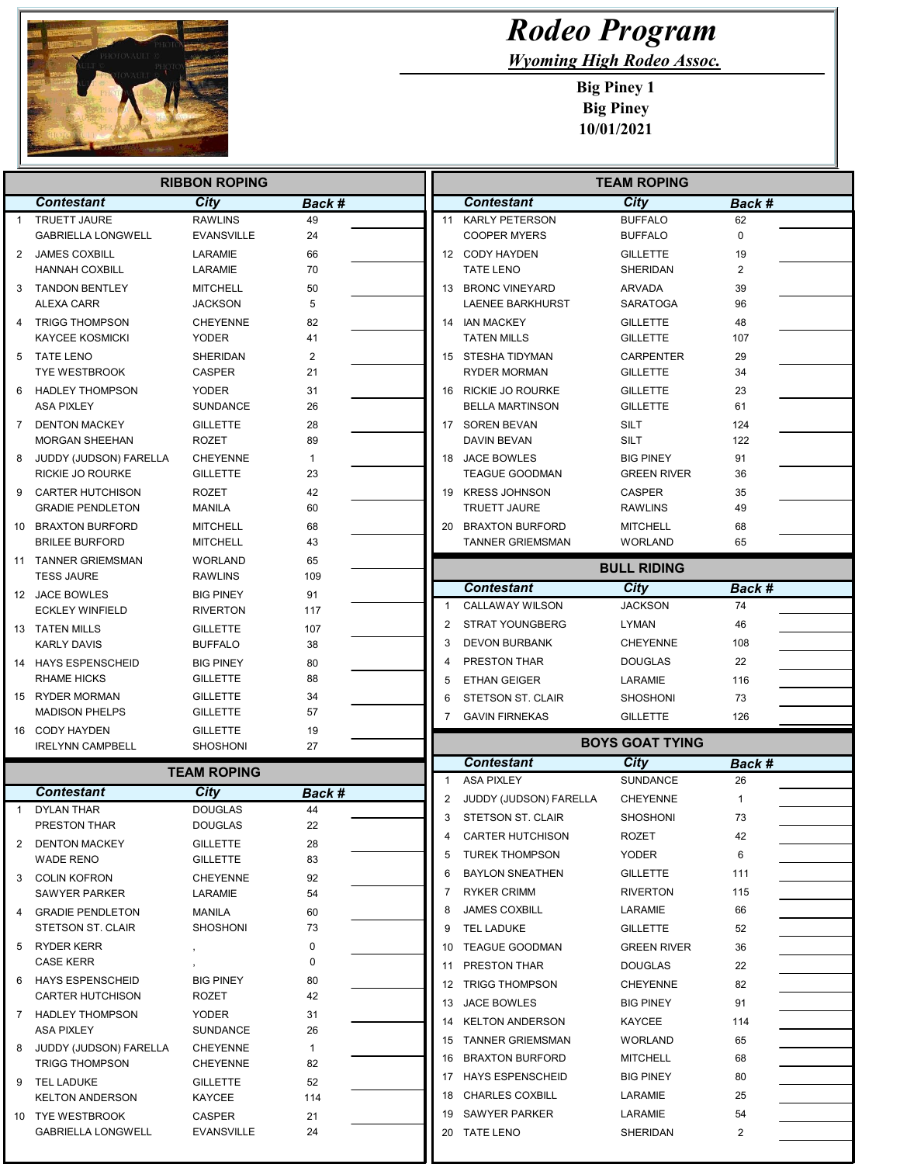

Γ  $\Box$ 

## Rodeo Program

Wyoming High Rodeo Assoc.

Big Piney 1 Big Piney 10/01/2021

|              | <b>RIBBON ROPING</b>                            |                                    |                |  | <b>TEAM ROPING</b> |                                         |                                    |                |  |
|--------------|-------------------------------------------------|------------------------------------|----------------|--|--------------------|-----------------------------------------|------------------------------------|----------------|--|
|              | <b>Contestant</b>                               | <b>City</b>                        | Back #         |  |                    | <b>Contestant</b>                       | <b>City</b>                        | Back #         |  |
| $\mathbf{1}$ | <b>TRUETT JAURE</b>                             | <b>RAWLINS</b>                     | 49             |  |                    | 11 KARLY PETERSON                       | <b>BUFFALO</b>                     | 62             |  |
|              | <b>GABRIELLA LONGWELL</b>                       | <b>EVANSVILLE</b>                  | 24             |  |                    | <b>COOPER MYERS</b>                     | <b>BUFFALO</b>                     | $\Omega$       |  |
| 2            | <b>JAMES COXBILL</b>                            | LARAMIE                            | 66             |  |                    | 12 CODY HAYDEN                          | <b>GILLETTE</b>                    | 19             |  |
|              | <b>HANNAH COXBILL</b>                           | LARAMIE                            | 70             |  |                    | <b>TATE LENO</b>                        | <b>SHERIDAN</b>                    | $\overline{2}$ |  |
| 3            | <b>TANDON BENTLEY</b>                           | <b>MITCHELL</b>                    | 50<br>5        |  |                    | 13 BRONC VINEYARD                       | ARVADA                             | 39             |  |
|              | ALEXA CARR                                      | <b>JACKSON</b>                     |                |  |                    | LAENEE BARKHURST                        | <b>SARATOGA</b>                    | 96             |  |
| 4            | <b>TRIGG THOMPSON</b><br><b>KAYCEE KOSMICKI</b> | <b>CHEYENNE</b><br><b>YODER</b>    | 82<br>41       |  |                    | 14 IAN MACKEY<br><b>TATEN MILLS</b>     | <b>GILLETTE</b><br><b>GILLETTE</b> | 48<br>107      |  |
| 5            | TATE LENO                                       | SHERIDAN                           | $\overline{2}$ |  |                    | 15 STESHA TIDYMAN                       | <b>CARPENTER</b>                   | 29             |  |
|              | <b>TYE WESTBROOK</b>                            | <b>CASPER</b>                      | 21             |  |                    | <b>RYDER MORMAN</b>                     | <b>GILLETTE</b>                    | 34             |  |
| 6            | HADLEY THOMPSON                                 | <b>YODER</b>                       | 31             |  |                    | 16 RICKIE JO ROURKE                     | <b>GILLETTE</b>                    | 23             |  |
|              | <b>ASA PIXLEY</b>                               | <b>SUNDANCE</b>                    | 26             |  |                    | <b>BELLA MARTINSON</b>                  | <b>GILLETTE</b>                    | 61             |  |
|              | 7 DENTON MACKEY                                 | <b>GILLETTE</b>                    | 28             |  |                    | 17 SOREN BEVAN                          | <b>SILT</b>                        | 124            |  |
|              | <b>MORGAN SHEEHAN</b>                           | <b>ROZET</b>                       | 89             |  |                    | DAVIN BEVAN                             | <b>SILT</b>                        | 122            |  |
| 8            | JUDDY (JUDSON) FARELLA                          | <b>CHEYENNE</b>                    | 1              |  |                    | 18 JACE BOWLES                          | <b>BIG PINEY</b>                   | 91             |  |
|              | RICKIE JO ROURKE                                | <b>GILLETTE</b>                    | 23             |  |                    | <b>TEAGUE GOODMAN</b>                   | <b>GREEN RIVER</b>                 | 36             |  |
| 9            | CARTER HUTCHISON<br><b>GRADIE PENDLETON</b>     | <b>ROZET</b><br><b>MANILA</b>      | 42<br>60       |  |                    | 19 KRESS JOHNSON<br><b>TRUETT JAURE</b> | <b>CASPER</b><br><b>RAWLINS</b>    | 35<br>49       |  |
|              | 10 BRAXTON BURFORD                              | <b>MITCHELL</b>                    |                |  |                    | 20 BRAXTON BURFORD                      | <b>MITCHELL</b>                    | 68             |  |
|              | <b>BRILEE BURFORD</b>                           | <b>MITCHELL</b>                    | 68<br>43       |  |                    | <b>TANNER GRIEMSMAN</b>                 | <b>WORLAND</b>                     | 65             |  |
|              | 11 TANNER GRIEMSMAN                             | <b>WORLAND</b>                     | 65             |  |                    |                                         |                                    |                |  |
|              | <b>TESS JAURE</b>                               | RAWLINS                            | 109            |  |                    |                                         | <b>BULL RIDING</b>                 |                |  |
|              | 12 JACE BOWLES                                  | <b>BIG PINEY</b>                   | 91             |  |                    | <b>Contestant</b>                       | <b>City</b>                        | Back #         |  |
|              | <b>ECKLEY WINFIELD</b>                          | <b>RIVERTON</b>                    | 117            |  | 1                  | <b>CALLAWAY WILSON</b>                  | <b>JACKSON</b>                     | 74             |  |
|              | 13 TATEN MILLS                                  | <b>GILLETTE</b>                    | 107            |  | $\overline{2}$     | <b>STRAT YOUNGBERG</b>                  | LYMAN                              | 46             |  |
|              | <b>KARLY DAVIS</b>                              | <b>BUFFALO</b>                     | 38             |  | 3                  | <b>DEVON BURBANK</b>                    | <b>CHEYENNE</b>                    | 108            |  |
|              | 14 HAYS ESPENSCHEID                             | <b>BIG PINEY</b>                   | 80             |  | 4                  | PRESTON THAR                            | <b>DOUGLAS</b>                     | 22             |  |
|              | <b>RHAME HICKS</b>                              | <b>GILLETTE</b>                    | 88             |  | 5                  | <b>ETHAN GEIGER</b>                     | LARAMIE                            | 116            |  |
|              | 15 RYDER MORMAN<br><b>MADISON PHELPS</b>        | <b>GILLETTE</b><br><b>GILLETTE</b> | 34<br>57       |  | 6                  | <b>STETSON ST. CLAIR</b>                | <b>SHOSHONI</b>                    | 73             |  |
|              | 16 CODY HAYDEN                                  | <b>GILLETTE</b>                    | 19             |  | 7                  | <b>GAVIN FIRNEKAS</b>                   | <b>GILLETTE</b>                    | 126            |  |
|              | <b>IRELYNN CAMPBELL</b>                         | <b>SHOSHONI</b>                    | 27             |  |                    |                                         | <b>BOYS GOAT TYING</b>             |                |  |
|              |                                                 | <b>TEAM ROPING</b>                 |                |  |                    | <b>Contestant</b>                       | City                               | Back #         |  |
|              |                                                 |                                    |                |  | $\mathbf{1}$       | ASA PIXLEY                              | <b>SUNDANCE</b>                    | 26             |  |
|              | <b>Contestant</b><br><b>DYLAN THAR</b>          | City<br><b>DOUGLAS</b>             | Back #<br>44   |  | $\overline{2}$     | JUDDY (JUDSON) FARELLA                  | <b>CHEYENNE</b>                    | 1              |  |
|              | PRESTON THAR                                    | <b>DOUGLAS</b>                     | 22             |  | 3                  | STETSON ST. CLAIR                       | <b>SHOSHONI</b>                    | 73             |  |
| 2            | <b>DENTON MACKEY</b>                            | <b>GILLETTE</b>                    | 28             |  | 4                  | <b>CARTER HUTCHISON</b>                 | ROZET                              | 42             |  |
|              | <b>WADE RENO</b>                                | <b>GILLETTE</b>                    | 83             |  | 5                  | <b>TUREK THOMPSON</b>                   | YODER                              | 6              |  |
| 3            | <b>COLIN KOFRON</b>                             | <b>CHEYENNE</b>                    | 92             |  | 6                  | <b>BAYLON SNEATHEN</b>                  | <b>GILLETTE</b>                    | 111            |  |
|              | <b>SAWYER PARKER</b>                            | LARAMIE                            | 54             |  | 7                  | <b>RYKER CRIMM</b>                      | <b>RIVERTON</b>                    | 115            |  |
| 4            | <b>GRADIE PENDLETON</b>                         | MANILA                             | 60             |  | 8                  | <b>JAMES COXBILL</b>                    | LARAMIE                            | 66             |  |
|              | STETSON ST. CLAIR                               | SHOSHONI                           | 73             |  | 9                  | TEL LADUKE                              | <b>GILLETTE</b>                    | 52             |  |
| 5            | RYDER KERR                                      |                                    | 0              |  | 10                 | TEAGUE GOODMAN                          | <b>GREEN RIVER</b>                 | 36             |  |
|              | <b>CASE KERR</b>                                |                                    | 0              |  | 11                 | <b>PRESTON THAR</b>                     | <b>DOUGLAS</b>                     | 22             |  |
| 6            | <b>HAYS ESPENSCHEID</b>                         | <b>BIG PINEY</b>                   | 80<br>42       |  |                    | 12 TRIGG THOMPSON                       | <b>CHEYENNE</b>                    | 82             |  |
|              | <b>CARTER HUTCHISON</b><br>7 HADLEY THOMPSON    | ROZET<br>YODER                     | 31             |  |                    | 13 JACE BOWLES                          | <b>BIG PINEY</b>                   | 91             |  |
|              | <b>ASA PIXLEY</b>                               | <b>SUNDANCE</b>                    | 26             |  |                    | 14 KELTON ANDERSON                      | KAYCEE                             | 114            |  |
| 8            | JUDDY (JUDSON) FARELLA                          | <b>CHEYENNE</b>                    | $\mathbf{1}$   |  |                    | 15 TANNER GRIEMSMAN                     | <b>WORLAND</b>                     | 65             |  |
|              | <b>TRIGG THOMPSON</b>                           | <b>CHEYENNE</b>                    | 82             |  |                    | 16 BRAXTON BURFORD                      | <b>MITCHELL</b>                    | 68             |  |
|              | 9 TEL LADUKE                                    | <b>GILLETTE</b>                    | 52             |  |                    | 17 HAYS ESPENSCHEID                     | <b>BIG PINEY</b>                   | 80             |  |
|              | <b>KELTON ANDERSON</b>                          | KAYCEE                             | 114            |  |                    | 18 CHARLES COXBILL                      | LARAMIE                            | 25             |  |
|              | 10 TYE WESTBROOK                                | CASPER                             | 21             |  | 19                 | SAWYER PARKER                           | LARAMIE                            | 54             |  |
|              | <b>GABRIELLA LONGWELL</b>                       | EVANSVILLE                         | 24             |  |                    | 20 TATE LENO                            | SHERIDAN                           | 2              |  |
|              |                                                 |                                    |                |  |                    |                                         |                                    |                |  |